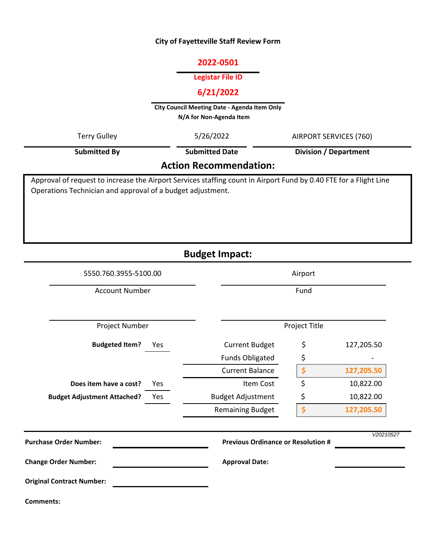## **City of Fayetteville Staff Review Form**

### **2022-0501**

### **Legistar File ID**

## **6/21/2022**

**City Council Meeting Date - Agenda Item Only N/A for Non-Agenda Item** 

| Terry Gulley                                                                                                                                                                    | 5/26/2022             | AIRPORT SERVICES (760)<br><b>Division / Department</b> |  |  |
|---------------------------------------------------------------------------------------------------------------------------------------------------------------------------------|-----------------------|--------------------------------------------------------|--|--|
| <b>Submitted By</b>                                                                                                                                                             | <b>Submitted Date</b> |                                                        |  |  |
| <b>Action Recommendation:</b>                                                                                                                                                   |                       |                                                        |  |  |
| Approval of request to increase the Airport Services staffing count in Airport Fund by 0.40 FTE for a Flight Line<br>Operations Technician and approval of a budget adjustment. |                       |                                                        |  |  |

**Budget Impact:**

| 5550.760.3955-5100.00              |     | Airport                                   |               |            |
|------------------------------------|-----|-------------------------------------------|---------------|------------|
| <b>Account Number</b>              |     | Fund                                      |               |            |
| Project Number                     |     |                                           | Project Title |            |
| <b>Budgeted Item?</b>              | Yes | <b>Current Budget</b>                     | \$            | 127,205.50 |
|                                    |     | <b>Funds Obligated</b>                    | \$            |            |
|                                    |     | <b>Current Balance</b>                    | \$            | 127,205.50 |
| Does item have a cost?             | Yes | Item Cost                                 | \$            | 10,822.00  |
| <b>Budget Adjustment Attached?</b> | Yes | <b>Budget Adjustment</b>                  | \$            | 10,822.00  |
|                                    |     | <b>Remaining Budget</b>                   | \$            | 127,205.50 |
| <b>Purchase Order Number:</b>      |     | <b>Previous Ordinance or Resolution #</b> |               | V20210527  |
| <b>Change Order Number:</b>        |     | <b>Approval Date:</b>                     |               |            |
| <b>Original Contract Number:</b>   |     |                                           |               |            |
| <b>Comments:</b>                   |     |                                           |               |            |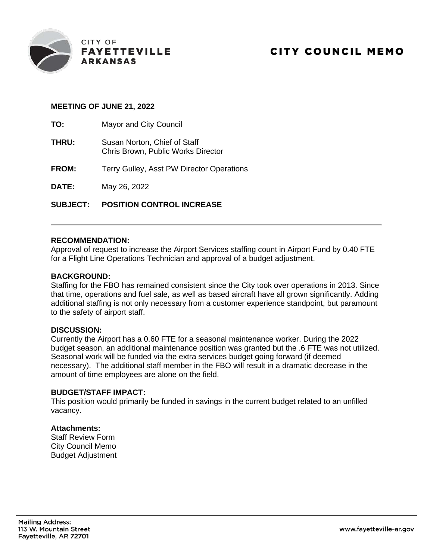

## **CITY COUNCIL MEMO**

#### **MEETING OF JUNE 21, 2022**

**TO:** Mayor and City Council

- **THRU:** Susan Norton, Chief of Staff Chris Brown, Public Works Director
- **FROM:** Terry Gulley, Asst PW Director Operations

**DATE:** May 26, 2022

**SUBJECT: POSITION CONTROL INCREASE**

#### **RECOMMENDATION:**

Approval of request to increase the Airport Services staffing count in Airport Fund by 0.40 FTE for a Flight Line Operations Technician and approval of a budget adjustment.

#### **BACKGROUND:**

Staffing for the FBO has remained consistent since the City took over operations in 2013. Since that time, operations and fuel sale, as well as based aircraft have all grown significantly. Adding additional staffing is not only necessary from a customer experience standpoint, but paramount to the safety of airport staff.

#### **DISCUSSION:**

Currently the Airport has a 0.60 FTE for a seasonal maintenance worker. During the 2022 budget season, an additional maintenance position was granted but the .6 FTE was not utilized. Seasonal work will be funded via the extra services budget going forward (if deemed necessary). The additional staff member in the FBO will result in a dramatic decrease in the amount of time employees are alone on the field.

#### **BUDGET/STAFF IMPACT:**

This position would primarily be funded in savings in the current budget related to an unfilled vacancy.

#### **Attachments:**

Staff Review Form City Council Memo Budget Adjustment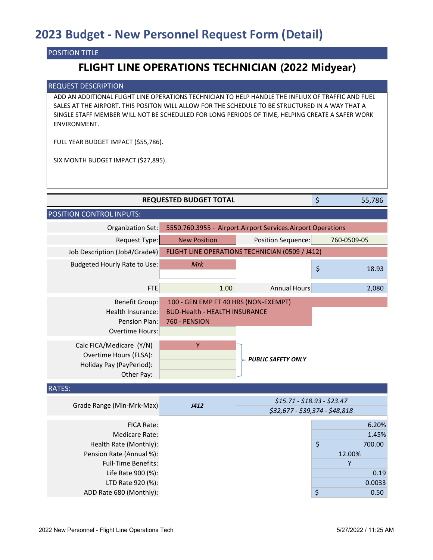### POSITION TITLE

## **FLIGHT LINE OPERATIONS TECHNICIAN (2022 Midyear)**

#### REQUEST DESCRIPTION

ADD AN ADDITIONAL FLIGHT LINE OPERATIONS TECHNICIAN TO HELP HANDLE THE INFLIUX OF TRAFFIC AND FUEL SALES AT THE AIRPORT. THIS POSITON WILL ALLOW FOR THE SCHEDULE TO BE STRUCTURED IN A WAY THAT A SINGLE STAFF MEMBER WILL NOT BE SCHEDULED FOR LONG PERIODS OF TIME, HELPING CREATE A SAFER WORK ENVIRONMENT.

FULL YEAR BUDGET IMPACT (\$55,786).

SIX MONTH BUDGET IMPACT (\$27,895).

|                                                                                                                                                                                       | <b>REQUESTED BUDGET TOTAL</b>                                                                      |                                                               | \$                | 55,786                                     |
|---------------------------------------------------------------------------------------------------------------------------------------------------------------------------------------|----------------------------------------------------------------------------------------------------|---------------------------------------------------------------|-------------------|--------------------------------------------|
| POSITION CONTROL INPUTS:                                                                                                                                                              |                                                                                                    |                                                               |                   |                                            |
| Organization Set:                                                                                                                                                                     |                                                                                                    | 5550.760.3955 - Airport.Airport Services.Airport Operations   |                   |                                            |
| Request Type:                                                                                                                                                                         | <b>New Position</b>                                                                                | Position Sequence:                                            | 760-0509-05       |                                            |
| Job Description (Job#/Grade#)                                                                                                                                                         |                                                                                                    | FLIGHT LINE OPERATIONS TECHNICIAN (0509 / J412)               |                   |                                            |
| Budgeted Hourly Rate to Use:                                                                                                                                                          | <b>Mrk</b>                                                                                         |                                                               | \$                | 18.93                                      |
| <b>FTE</b>                                                                                                                                                                            | 1.00                                                                                               | <b>Annual Hours</b>                                           |                   | 2,080                                      |
| <b>Benefit Group:</b><br>Health Insurance:<br>Pension Plan:<br><b>Overtime Hours:</b><br>Calc FICA/Medicare (Y/N)<br>Overtime Hours (FLSA):<br>Holiday Pay (PayPeriod):<br>Other Pay: | 100 - GEN EMP FT 40 HRS (NON-EXEMPT)<br><b>BUD-Health - HEALTH INSURANCE</b><br>760 - PENSION<br>Y | <b>PUBLIC SAFETY ONLY</b>                                     |                   |                                            |
| <b>RATES:</b>                                                                                                                                                                         |                                                                                                    |                                                               |                   |                                            |
| Grade Range (Min-Mrk-Max)                                                                                                                                                             | J412                                                                                               | \$15.71 - \$18.93 - \$23.47<br>\$32,677 - \$39,374 - \$48,818 |                   |                                            |
| <b>FICA Rate:</b><br><b>Medicare Rate:</b><br>Health Rate (Monthly):<br>Pension Rate (Annual %):<br><b>Full-Time Benefits:</b><br>Life Rate 900 (%):<br>LTD Rate 920 (%):             |                                                                                                    |                                                               | \$<br>12.00%<br>Y | 6.20%<br>1.45%<br>700.00<br>0.19<br>0.0033 |
| ADD Rate 680 (Monthly):                                                                                                                                                               |                                                                                                    |                                                               | \$                | 0.50                                       |